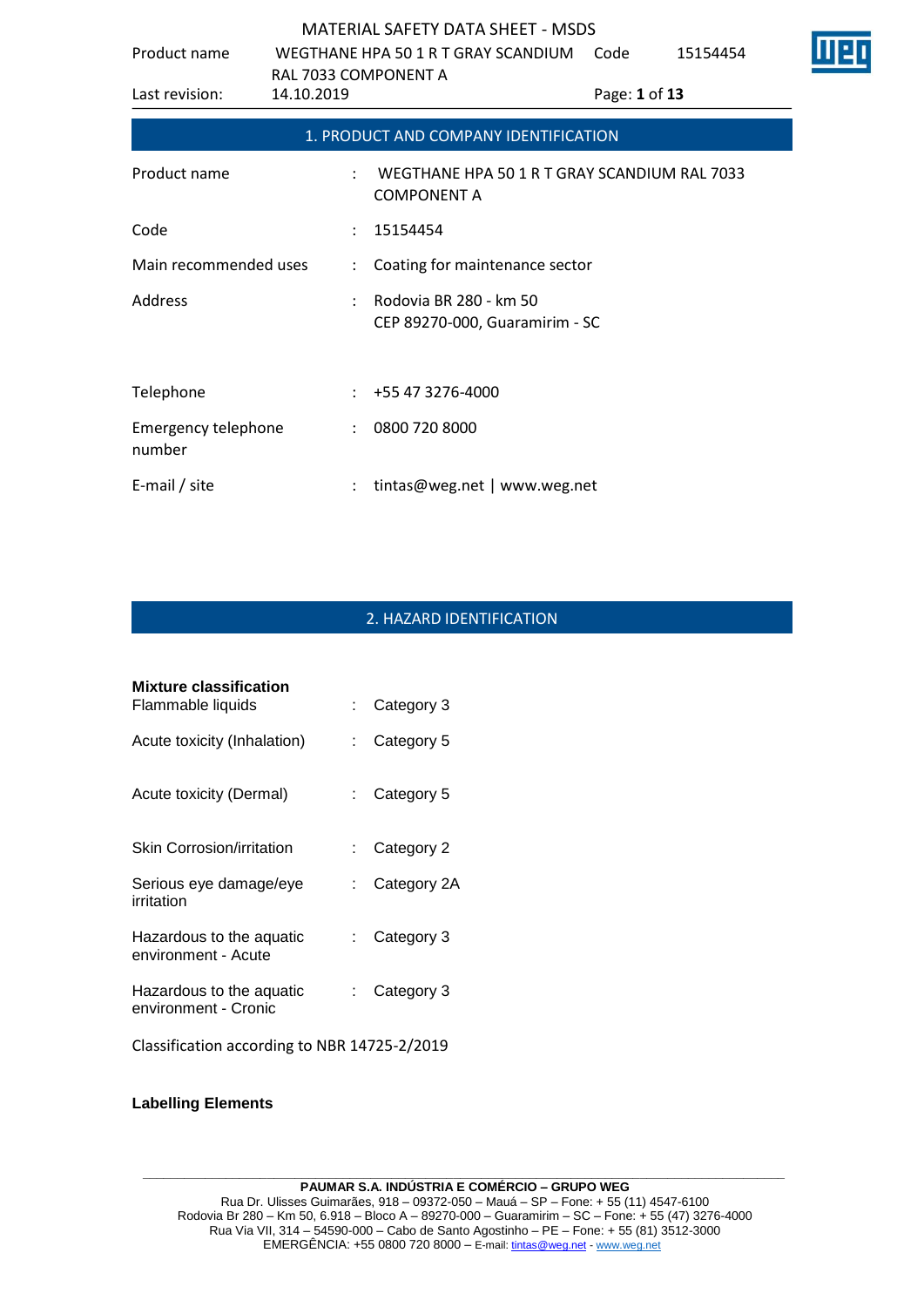| Product name                         | WEGTHANE HPA 50 1 R T GRAY SCANDIUM |                                                                    | Code | 15154454      | П |
|--------------------------------------|-------------------------------------|--------------------------------------------------------------------|------|---------------|---|
| Last revision:                       | RAL 7033 COMPONENT A<br>14.10.2019  |                                                                    |      | Page: 1 of 13 |   |
|                                      |                                     | 1. PRODUCT AND COMPANY IDENTIFICATION                              |      |               |   |
| Product name                         |                                     | WEGTHANE HPA 50 1 R T GRAY SCANDIUM RAL 7033<br><b>COMPONENT A</b> |      |               |   |
| Code                                 |                                     | 15154454                                                           |      |               |   |
| Main recommended uses                | $\ddot{\phantom{a}}$                | Coating for maintenance sector                                     |      |               |   |
| Address                              |                                     | Rodovia BR 280 - km 50<br>CEP 89270-000, Guaramirim - SC           |      |               |   |
| Telephone                            |                                     | +55 47 3276-4000                                                   |      |               |   |
| <b>Emergency telephone</b><br>number | $\ddot{\cdot}$                      | 0800 720 8000                                                      |      |               |   |
| E-mail / site                        |                                     | tintas@weg.net   www.weg.net                                       |      |               |   |

# 2. HAZARD IDENTIFICATION

| <b>Mixture classification</b><br>Flammable liquids | t in                      | Category 3  |
|----------------------------------------------------|---------------------------|-------------|
| Acute toxicity (Inhalation)                        | t.                        | Category 5  |
| Acute toxicity (Dermal)                            | $\mathbb{R}^{\mathbb{Z}}$ | Category 5  |
| Skin Corrosion/irritation                          | t.                        | Category 2  |
| Serious eye damage/eye<br>irritation               | t.                        | Category 2A |
| Hazardous to the aquatic<br>environment - Acute    | t.                        | Category 3  |
| Hazardous to the aquatic<br>environment - Cronic   | t.                        | Category 3  |
| Classification according to NBR 14725-2/2019       |                           |             |

# **Labelling Elements**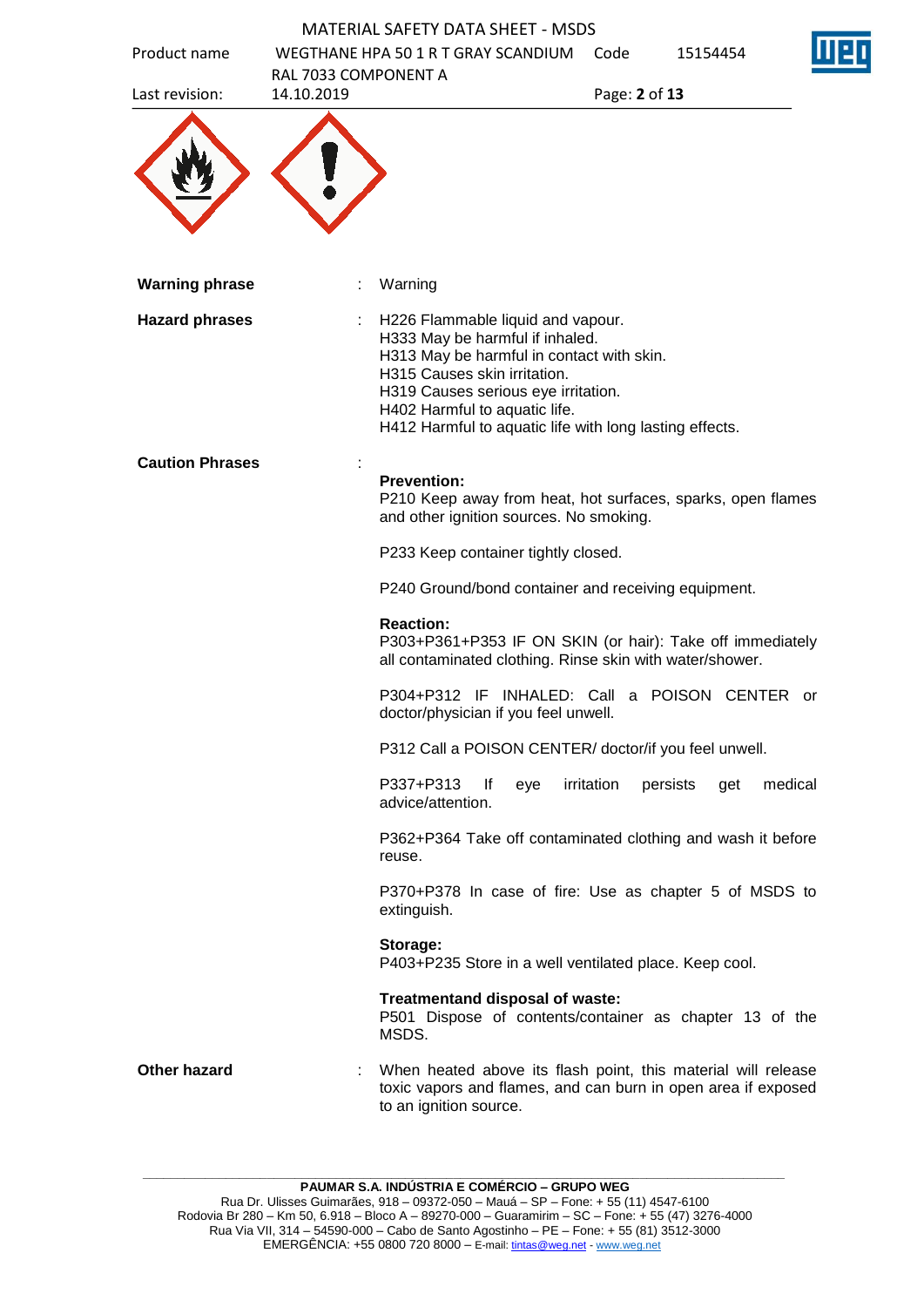|                        |                                                             | <b>MATERIAL SAFETY DATA SHEET - MSDS</b>                                                                                                                                                                                                                                             |               |                 |         |
|------------------------|-------------------------------------------------------------|--------------------------------------------------------------------------------------------------------------------------------------------------------------------------------------------------------------------------------------------------------------------------------------|---------------|-----------------|---------|
| Product name           | WEGTHANE HPA 50 1 R T GRAY SCANDIUM<br>RAL 7033 COMPONENT A |                                                                                                                                                                                                                                                                                      | Code          | 15154454        |         |
| Last revision:         | 14.10.2019                                                  |                                                                                                                                                                                                                                                                                      | Page: 2 of 13 |                 |         |
|                        |                                                             |                                                                                                                                                                                                                                                                                      |               |                 |         |
| <b>Warning phrase</b>  | Warning                                                     |                                                                                                                                                                                                                                                                                      |               |                 |         |
| <b>Hazard phrases</b>  |                                                             | H226 Flammable liquid and vapour.<br>H333 May be harmful if inhaled.<br>H313 May be harmful in contact with skin.<br>H315 Causes skin irritation.<br>H319 Causes serious eye irritation.<br>H402 Harmful to aquatic life.<br>H412 Harmful to aquatic life with long lasting effects. |               |                 |         |
| <b>Caution Phrases</b> |                                                             |                                                                                                                                                                                                                                                                                      |               |                 |         |
|                        | <b>Prevention:</b>                                          | P210 Keep away from heat, hot surfaces, sparks, open flames<br>and other ignition sources. No smoking.                                                                                                                                                                               |               |                 |         |
|                        |                                                             | P233 Keep container tightly closed.                                                                                                                                                                                                                                                  |               |                 |         |
|                        |                                                             | P240 Ground/bond container and receiving equipment.                                                                                                                                                                                                                                  |               |                 |         |
|                        | <b>Reaction:</b>                                            | P303+P361+P353 IF ON SKIN (or hair): Take off immediately<br>all contaminated clothing. Rinse skin with water/shower.                                                                                                                                                                |               |                 |         |
|                        |                                                             | P304+P312 IF INHALED: Call a POISON CENTER or<br>doctor/physician if you feel unwell.                                                                                                                                                                                                |               |                 |         |
|                        |                                                             | P312 Call a POISON CENTER/ doctor/if you feel unwell.                                                                                                                                                                                                                                |               |                 |         |
|                        | P337+P313<br>advice/attention.                              | lf<br>eye                                                                                                                                                                                                                                                                            | irritation    | persists<br>get | medical |
|                        | reuse.                                                      | P362+P364 Take off contaminated clothing and wash it before                                                                                                                                                                                                                          |               |                 |         |
|                        | extinguish.                                                 | P370+P378 In case of fire: Use as chapter 5 of MSDS to                                                                                                                                                                                                                               |               |                 |         |
|                        | Storage:                                                    | P403+P235 Store in a well ventilated place. Keep cool.                                                                                                                                                                                                                               |               |                 |         |
|                        | MSDS.                                                       | Treatmentand disposal of waste:<br>P501 Dispose of contents/container as chapter 13 of the                                                                                                                                                                                           |               |                 |         |
| <b>Other hazard</b>    |                                                             | When heated above its flash point, this material will release<br>toxic vapors and flames, and can burn in open area if exposed<br>to an ignition source.                                                                                                                             |               |                 |         |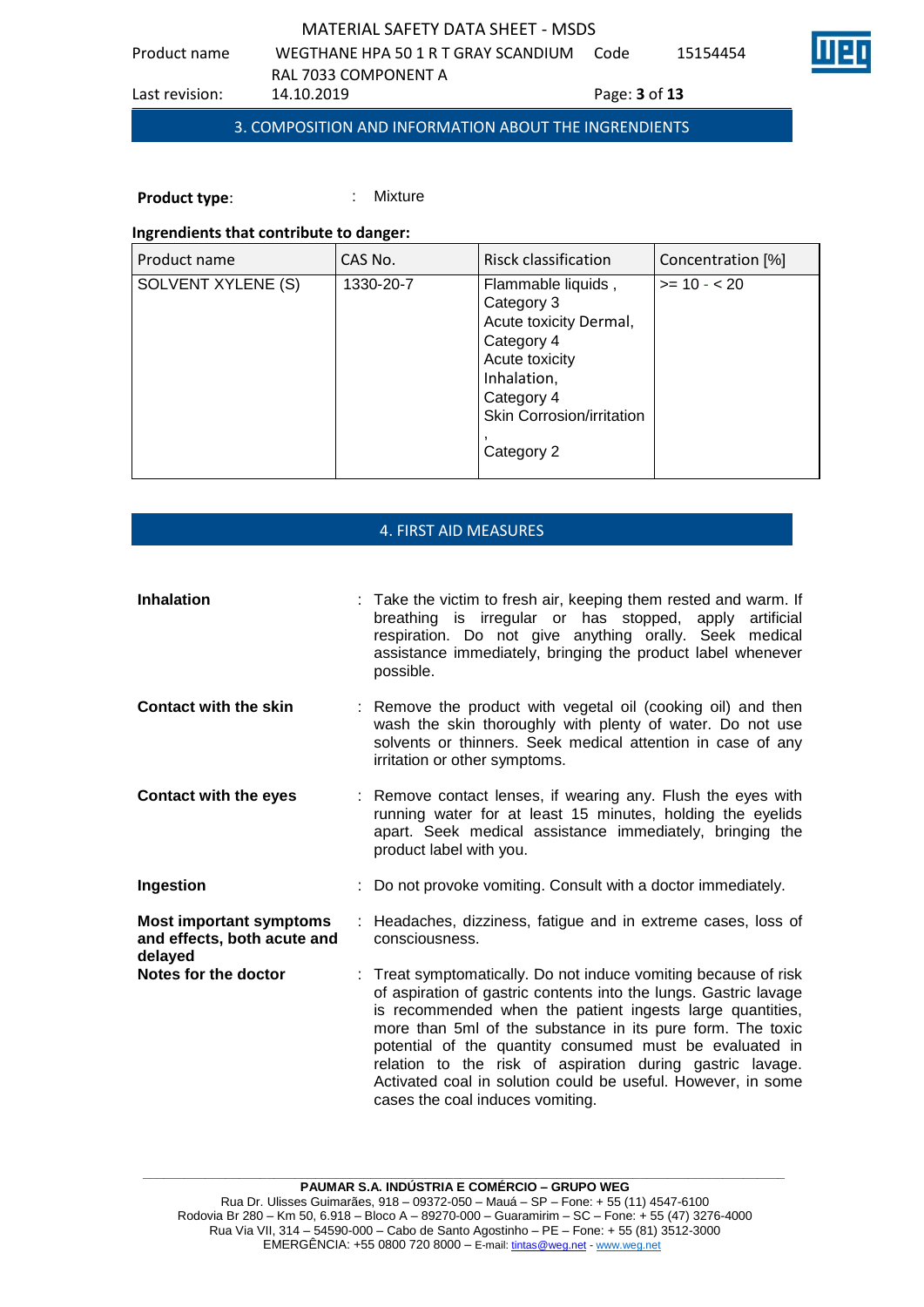Product name WEGTHANE HPA 50 1 R T GRAY SCANDIUM 15154454

RAL 7033 COMPONENT A

Last revision: 14.10.2019 Page: **3** of **13**

3. COMPOSITION AND INFORMATION ABOUT THE INGRENDIENTS

**Product type:** : : : : : Mixture

## **Ingrendients that contribute to danger:**

| Product name       | CAS No.   | <b>Risck classification</b>                                                                                                                                        | Concentration [%] |
|--------------------|-----------|--------------------------------------------------------------------------------------------------------------------------------------------------------------------|-------------------|
| SOLVENT XYLENE (S) | 1330-20-7 | Flammable liquids,<br>Category 3<br>Acute toxicity Dermal,<br>Category 4<br>Acute toxicity<br>Inhalation,<br>Category 4<br>Skin Corrosion/irritation<br>Category 2 | $>= 10 - 20$      |

#### 4. FIRST AID MEASURES

| <b>Inhalation</b>                                                        | : Take the victim to fresh air, keeping them rested and warm. If<br>breathing is irregular or has stopped, apply artificial<br>respiration. Do not give anything orally. Seek medical<br>assistance immediately, bringing the product label whenever<br>possible.                                                                                                                                                                                      |
|--------------------------------------------------------------------------|--------------------------------------------------------------------------------------------------------------------------------------------------------------------------------------------------------------------------------------------------------------------------------------------------------------------------------------------------------------------------------------------------------------------------------------------------------|
| <b>Contact with the skin</b>                                             | : Remove the product with vegetal oil (cooking oil) and then<br>wash the skin thoroughly with plenty of water. Do not use<br>solvents or thinners. Seek medical attention in case of any<br>irritation or other symptoms.                                                                                                                                                                                                                              |
| <b>Contact with the eyes</b>                                             | : Remove contact lenses, if wearing any. Flush the eyes with<br>running water for at least 15 minutes, holding the eyelids<br>apart. Seek medical assistance immediately, bringing the<br>product label with you.                                                                                                                                                                                                                                      |
| Ingestion                                                                | : Do not provoke vomiting. Consult with a doctor immediately.                                                                                                                                                                                                                                                                                                                                                                                          |
| <b>Most important symptoms</b><br>and effects, both acute and<br>delayed | : Headaches, dizziness, fatigue and in extreme cases, loss of<br>consciousness.                                                                                                                                                                                                                                                                                                                                                                        |
| Notes for the doctor                                                     | : Treat symptomatically. Do not induce vomiting because of risk<br>of aspiration of gastric contents into the lungs. Gastric lavage<br>is recommended when the patient ingests large quantities,<br>more than 5ml of the substance in its pure form. The toxic<br>potential of the quantity consumed must be evaluated in<br>relation to the risk of aspiration during gastric lavage.<br>Activated coal in solution could be useful. However, in some |

**\_\_\_\_\_\_\_\_\_\_\_\_\_\_\_\_\_\_\_\_\_\_\_\_\_\_\_\_\_\_\_\_\_\_\_\_\_\_\_\_\_\_\_\_\_\_\_\_\_\_\_\_\_\_\_\_\_\_\_\_\_\_\_\_\_\_\_\_\_\_\_\_\_\_\_\_\_\_\_\_\_\_\_\_\_\_\_\_\_\_\_\_\_**

cases the coal induces vomiting.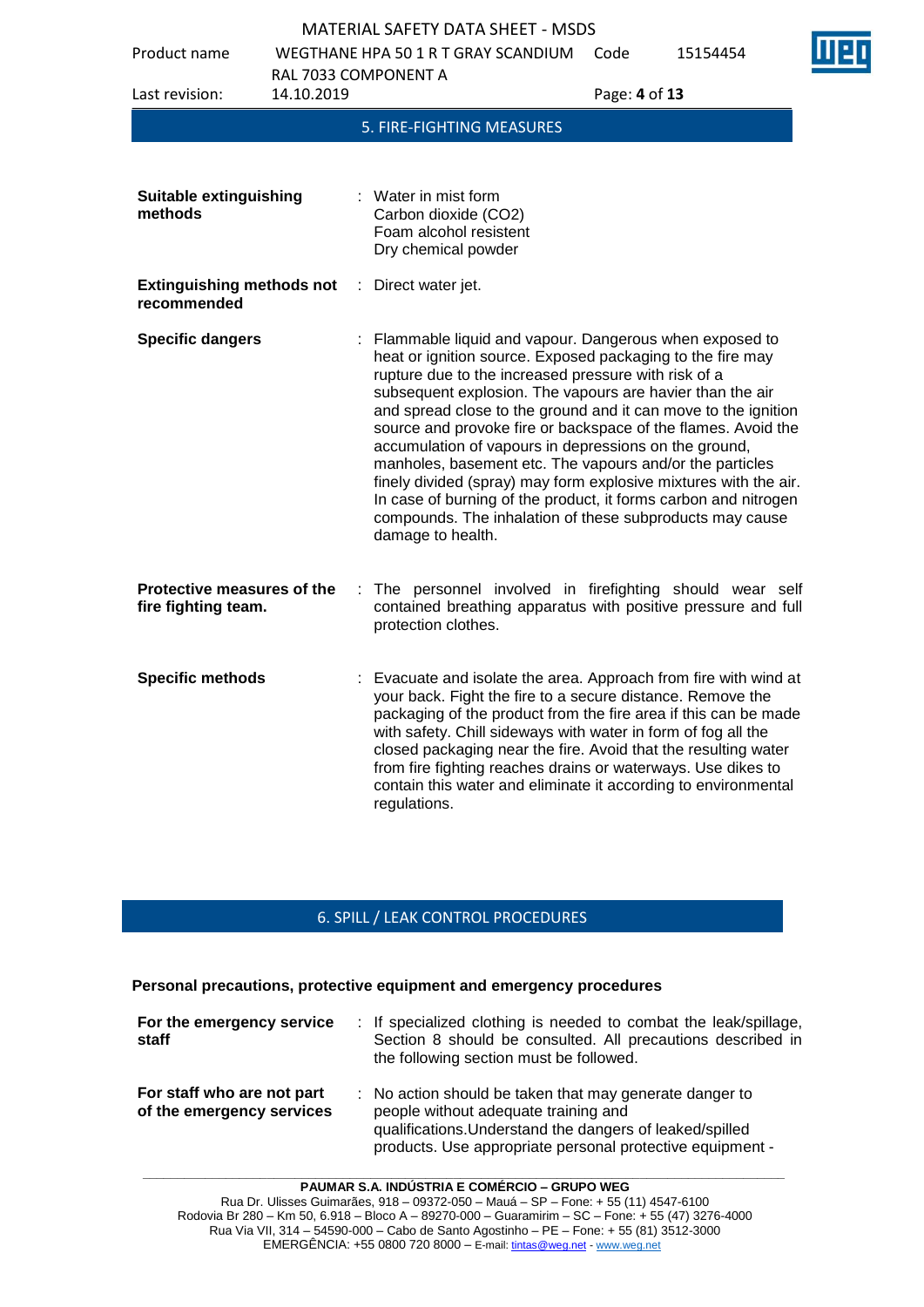Product name WEGTHANE HPA 50 1 R T GRAY SCANDIUM Code 15154454 RAL 7033 COMPONENT A

| Last revision:                                    | RAL 7033 COMPONENT A<br>14.10.2019 | Page: 4 of 13                                                                                                                                                                                                                                                                                                                                                                                                                                                                                                                                                                                                                                                                                                               |
|---------------------------------------------------|------------------------------------|-----------------------------------------------------------------------------------------------------------------------------------------------------------------------------------------------------------------------------------------------------------------------------------------------------------------------------------------------------------------------------------------------------------------------------------------------------------------------------------------------------------------------------------------------------------------------------------------------------------------------------------------------------------------------------------------------------------------------------|
|                                                   |                                    | 5. FIRE-FIGHTING MEASURES                                                                                                                                                                                                                                                                                                                                                                                                                                                                                                                                                                                                                                                                                                   |
| <b>Suitable extinguishing</b><br>methods          |                                    | : Water in mist form<br>Carbon dioxide (CO2)<br>Foam alcohol resistent<br>Dry chemical powder                                                                                                                                                                                                                                                                                                                                                                                                                                                                                                                                                                                                                               |
| <b>Extinguishing methods not</b><br>recommended   |                                    | : Direct water jet.                                                                                                                                                                                                                                                                                                                                                                                                                                                                                                                                                                                                                                                                                                         |
| <b>Specific dangers</b>                           |                                    | : Flammable liquid and vapour. Dangerous when exposed to<br>heat or ignition source. Exposed packaging to the fire may<br>rupture due to the increased pressure with risk of a<br>subsequent explosion. The vapours are havier than the air<br>and spread close to the ground and it can move to the ignition<br>source and provoke fire or backspace of the flames. Avoid the<br>accumulation of vapours in depressions on the ground,<br>manholes, basement etc. The vapours and/or the particles<br>finely divided (spray) may form explosive mixtures with the air.<br>In case of burning of the product, it forms carbon and nitrogen<br>compounds. The inhalation of these subproducts may cause<br>damage to health. |
| Protective measures of the<br>fire fighting team. |                                    | The personnel involved in firefighting should wear self<br>contained breathing apparatus with positive pressure and full<br>protection clothes.                                                                                                                                                                                                                                                                                                                                                                                                                                                                                                                                                                             |
| <b>Specific methods</b>                           |                                    | Evacuate and isolate the area. Approach from fire with wind at<br>your back. Fight the fire to a secure distance. Remove the<br>packaging of the product from the fire area if this can be made<br>with safety. Chill sideways with water in form of fog all the<br>closed packaging near the fire. Avoid that the resulting water<br>from fire fighting reaches drains or waterways. Use dikes to<br>contain this water and eliminate it according to environmental<br>regulations.                                                                                                                                                                                                                                        |

# 6. SPILL / LEAK CONTROL PROCEDURES

#### **Personal precautions, protective equipment and emergency procedures**

| For the emergency service<br>staff                      | : If specialized clothing is needed to combat the leak/spillage,<br>Section 8 should be consulted. All precautions described in<br>the following section must be followed.                                               |
|---------------------------------------------------------|--------------------------------------------------------------------------------------------------------------------------------------------------------------------------------------------------------------------------|
| For staff who are not part<br>of the emergency services | : No action should be taken that may generate danger to<br>people without adequate training and<br>qualifications. Understand the dangers of leaked/spilled<br>products. Use appropriate personal protective equipment - |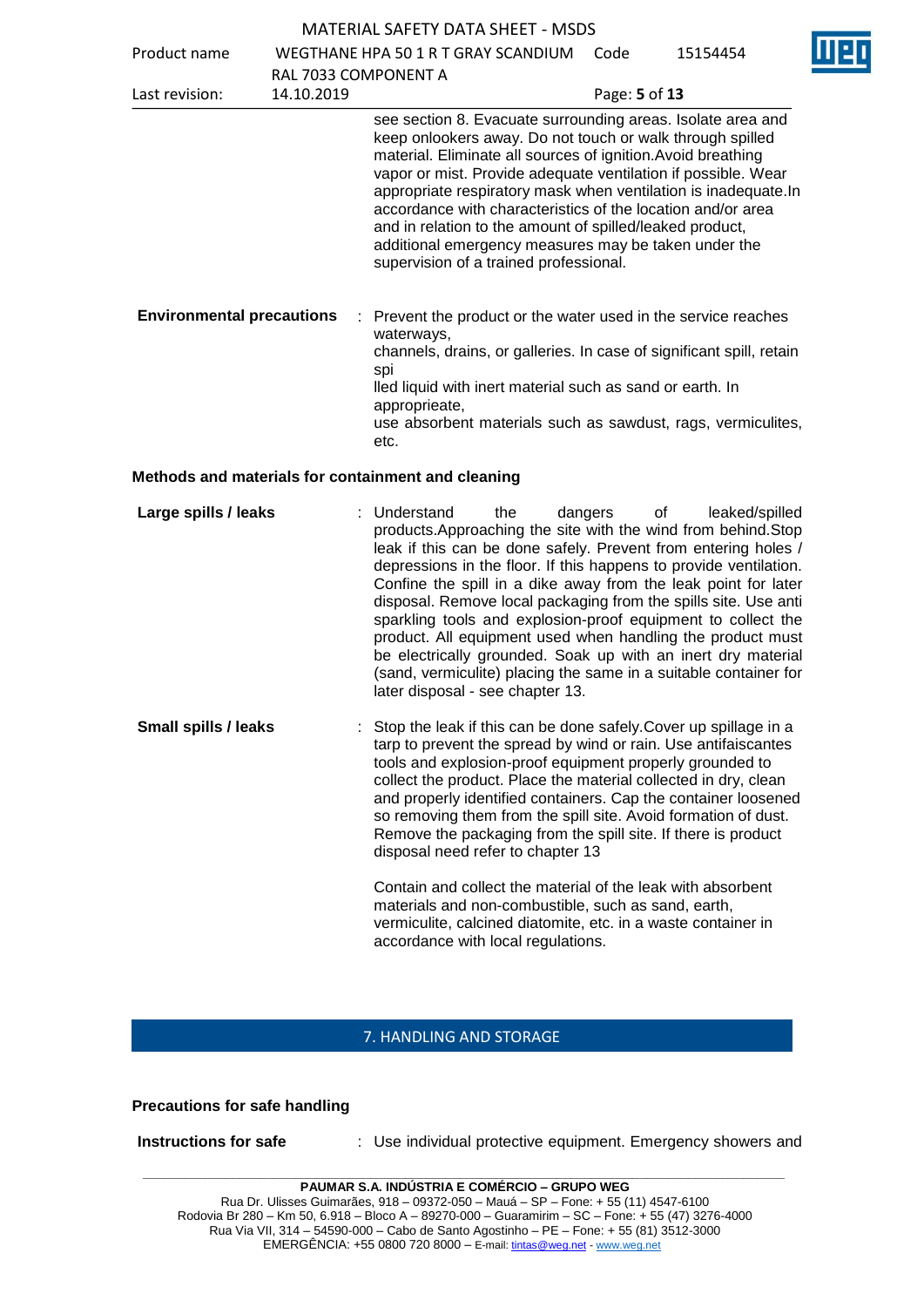|  | <b>MATERIAL SAFETY DATA SHEET - MSDS</b> |
|--|------------------------------------------|
|--|------------------------------------------|

Product name WEGTHANE HPA 50 1 R T GRAY SCANDIUM Code 15154454

|                                  | RAL 7033 COMPONENT A |                                                                                                                                                                                                                                                                                                                                                                                                                                                                                                                                                          |
|----------------------------------|----------------------|----------------------------------------------------------------------------------------------------------------------------------------------------------------------------------------------------------------------------------------------------------------------------------------------------------------------------------------------------------------------------------------------------------------------------------------------------------------------------------------------------------------------------------------------------------|
| Last revision:                   | 14.10.2019           | Page: 5 of 13                                                                                                                                                                                                                                                                                                                                                                                                                                                                                                                                            |
|                                  |                      | see section 8. Evacuate surrounding areas. Isolate area and<br>keep onlookers away. Do not touch or walk through spilled<br>material. Eliminate all sources of ignition. Avoid breathing<br>vapor or mist. Provide adequate ventilation if possible. Wear<br>appropriate respiratory mask when ventilation is inadequate.In<br>accordance with characteristics of the location and/or area<br>and in relation to the amount of spilled/leaked product,<br>additional emergency measures may be taken under the<br>supervision of a trained professional. |
| <b>Environmental precautions</b> |                      | : Prevent the product or the water used in the service reaches<br>waterways,<br>channels, drains, or galleries. In case of significant spill, retain<br>spi<br>lled liquid with inert material such as sand or earth. In<br>approprieate,<br>use absorbent materials such as sawdust, rags, vermiculites,<br>etc.                                                                                                                                                                                                                                        |

#### **Methods and materials for containment and cleaning**

| Large spills / leaks        | : Understand<br>products. Approaching the site with the wind from behind. Stop<br>leak if this can be done safely. Prevent from entering holes /<br>depressions in the floor. If this happens to provide ventilation.<br>Confine the spill in a dike away from the leak point for later<br>disposal. Remove local packaging from the spills site. Use anti<br>sparkling tools and explosion-proof equipment to collect the<br>product. All equipment used when handling the product must<br>be electrically grounded. Soak up with an inert dry material<br>(sand, vermiculite) placing the same in a suitable container for<br>later disposal - see chapter 13. | the | dangers | of | leaked/spilled |
|-----------------------------|------------------------------------------------------------------------------------------------------------------------------------------------------------------------------------------------------------------------------------------------------------------------------------------------------------------------------------------------------------------------------------------------------------------------------------------------------------------------------------------------------------------------------------------------------------------------------------------------------------------------------------------------------------------|-----|---------|----|----------------|
| <b>Small spills / leaks</b> | : Stop the leak if this can be done safely. Cover up spillage in a<br>torn to provent the enread by wind or roin. He entifoiogentee                                                                                                                                                                                                                                                                                                                                                                                                                                                                                                                              |     |         |    |                |

| ali spilis / Ieaks | $\therefore$ stop the leak if this can be done safely. Cover up spillage in a<br>tarp to prevent the spread by wind or rain. Use antifaiscantes<br>tools and explosion-proof equipment properly grounded to<br>collect the product. Place the material collected in dry, clean<br>and properly identified containers. Cap the container loosened<br>so removing them from the spill site. Avoid formation of dust.<br>Remove the packaging from the spill site. If there is product<br>disposal need refer to chapter 13 |
|--------------------|--------------------------------------------------------------------------------------------------------------------------------------------------------------------------------------------------------------------------------------------------------------------------------------------------------------------------------------------------------------------------------------------------------------------------------------------------------------------------------------------------------------------------|
|                    |                                                                                                                                                                                                                                                                                                                                                                                                                                                                                                                          |

Contain and collect the material of the leak with absorbent materials and non-combustible, such as sand, earth, vermiculite, calcined diatomite, etc. in a waste container in accordance with local regulations.

#### 7. HANDLING AND STORAGE

#### **Precautions for safe handling**

**Instructions for safe : Use individual protective equipment. Emergency showers and**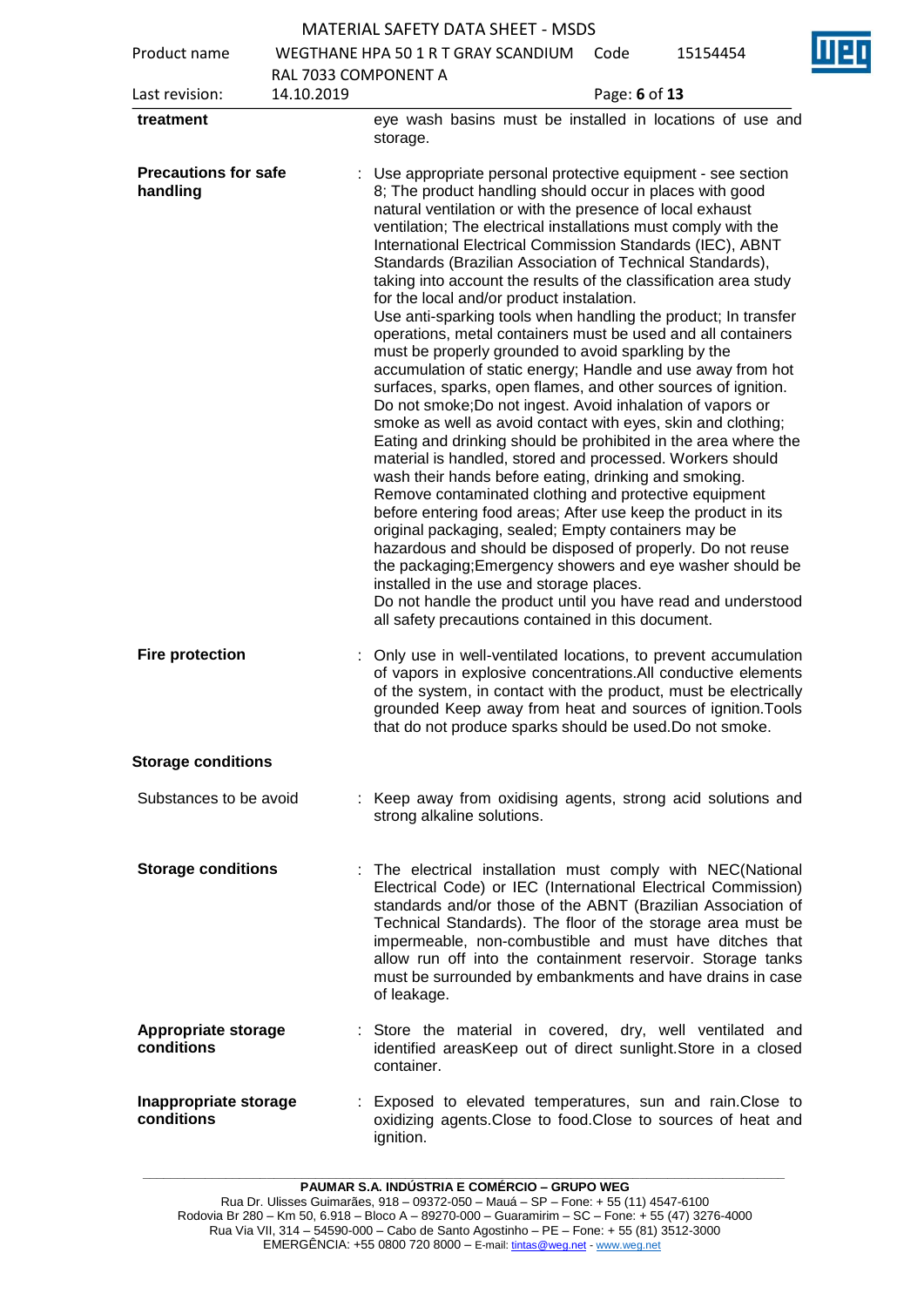| Product name                            | WEGTHANE HPA 50 1 R T GRAY SCANDIUM<br>Code<br>15154454<br>RAL 7033 COMPONENT A |                                                                                                                                                                                                                                                                                                                                                                                                                                                                                                                                                                                                                                                                                                                                                                                                                                                                                                                                                                                                                                                                                                                                                                                                                                                                                                                                                                                                                                                                                                                                                                                                                                  |  |  |  |  |  |
|-----------------------------------------|---------------------------------------------------------------------------------|----------------------------------------------------------------------------------------------------------------------------------------------------------------------------------------------------------------------------------------------------------------------------------------------------------------------------------------------------------------------------------------------------------------------------------------------------------------------------------------------------------------------------------------------------------------------------------------------------------------------------------------------------------------------------------------------------------------------------------------------------------------------------------------------------------------------------------------------------------------------------------------------------------------------------------------------------------------------------------------------------------------------------------------------------------------------------------------------------------------------------------------------------------------------------------------------------------------------------------------------------------------------------------------------------------------------------------------------------------------------------------------------------------------------------------------------------------------------------------------------------------------------------------------------------------------------------------------------------------------------------------|--|--|--|--|--|
| Last revision:                          | 14.10.2019<br>Page: 6 of 13                                                     |                                                                                                                                                                                                                                                                                                                                                                                                                                                                                                                                                                                                                                                                                                                                                                                                                                                                                                                                                                                                                                                                                                                                                                                                                                                                                                                                                                                                                                                                                                                                                                                                                                  |  |  |  |  |  |
| treatment                               |                                                                                 | eye wash basins must be installed in locations of use and<br>storage.                                                                                                                                                                                                                                                                                                                                                                                                                                                                                                                                                                                                                                                                                                                                                                                                                                                                                                                                                                                                                                                                                                                                                                                                                                                                                                                                                                                                                                                                                                                                                            |  |  |  |  |  |
| <b>Precautions for safe</b><br>handling |                                                                                 | : Use appropriate personal protective equipment - see section<br>8; The product handling should occur in places with good<br>natural ventilation or with the presence of local exhaust<br>ventilation; The electrical installations must comply with the<br>International Electrical Commission Standards (IEC), ABNT<br>Standards (Brazilian Association of Technical Standards),<br>taking into account the results of the classification area study<br>for the local and/or product instalation.<br>Use anti-sparking tools when handling the product; In transfer<br>operations, metal containers must be used and all containers<br>must be properly grounded to avoid sparkling by the<br>accumulation of static energy; Handle and use away from hot<br>surfaces, sparks, open flames, and other sources of ignition.<br>Do not smoke; Do not ingest. Avoid inhalation of vapors or<br>smoke as well as avoid contact with eyes, skin and clothing;<br>Eating and drinking should be prohibited in the area where the<br>material is handled, stored and processed. Workers should<br>wash their hands before eating, drinking and smoking.<br>Remove contaminated clothing and protective equipment<br>before entering food areas; After use keep the product in its<br>original packaging, sealed; Empty containers may be<br>hazardous and should be disposed of properly. Do not reuse<br>the packaging; Emergency showers and eye washer should be<br>installed in the use and storage places.<br>Do not handle the product until you have read and understood<br>all safety precautions contained in this document. |  |  |  |  |  |
| <b>Fire protection</b>                  |                                                                                 | Only use in well-ventilated locations, to prevent accumulation<br>of vapors in explosive concentrations. All conductive elements<br>of the system, in contact with the product, must be electrically<br>grounded Keep away from heat and sources of ignition. Tools<br>that do not produce sparks should be used. Do not smoke.                                                                                                                                                                                                                                                                                                                                                                                                                                                                                                                                                                                                                                                                                                                                                                                                                                                                                                                                                                                                                                                                                                                                                                                                                                                                                                  |  |  |  |  |  |
| <b>Storage conditions</b>               |                                                                                 |                                                                                                                                                                                                                                                                                                                                                                                                                                                                                                                                                                                                                                                                                                                                                                                                                                                                                                                                                                                                                                                                                                                                                                                                                                                                                                                                                                                                                                                                                                                                                                                                                                  |  |  |  |  |  |
| Substances to be avoid                  |                                                                                 | Keep away from oxidising agents, strong acid solutions and<br>strong alkaline solutions.                                                                                                                                                                                                                                                                                                                                                                                                                                                                                                                                                                                                                                                                                                                                                                                                                                                                                                                                                                                                                                                                                                                                                                                                                                                                                                                                                                                                                                                                                                                                         |  |  |  |  |  |
| <b>Storage conditions</b>               | ÷                                                                               | The electrical installation must comply with NEC(National<br>Electrical Code) or IEC (International Electrical Commission)<br>standards and/or those of the ABNT (Brazilian Association of<br>Technical Standards). The floor of the storage area must be<br>impermeable, non-combustible and must have ditches that<br>allow run off into the containment reservoir. Storage tanks<br>must be surrounded by embankments and have drains in case<br>of leakage.                                                                                                                                                                                                                                                                                                                                                                                                                                                                                                                                                                                                                                                                                                                                                                                                                                                                                                                                                                                                                                                                                                                                                                  |  |  |  |  |  |
| Appropriate storage<br>conditions       |                                                                                 | Store the material in covered, dry, well ventilated and<br>identified areasKeep out of direct sunlight. Store in a closed<br>container.                                                                                                                                                                                                                                                                                                                                                                                                                                                                                                                                                                                                                                                                                                                                                                                                                                                                                                                                                                                                                                                                                                                                                                                                                                                                                                                                                                                                                                                                                          |  |  |  |  |  |
| Inappropriate storage<br>conditions     |                                                                                 | Exposed to elevated temperatures, sun and rain. Close to<br>oxidizing agents. Close to food. Close to sources of heat and<br>ignition.                                                                                                                                                                                                                                                                                                                                                                                                                                                                                                                                                                                                                                                                                                                                                                                                                                                                                                                                                                                                                                                                                                                                                                                                                                                                                                                                                                                                                                                                                           |  |  |  |  |  |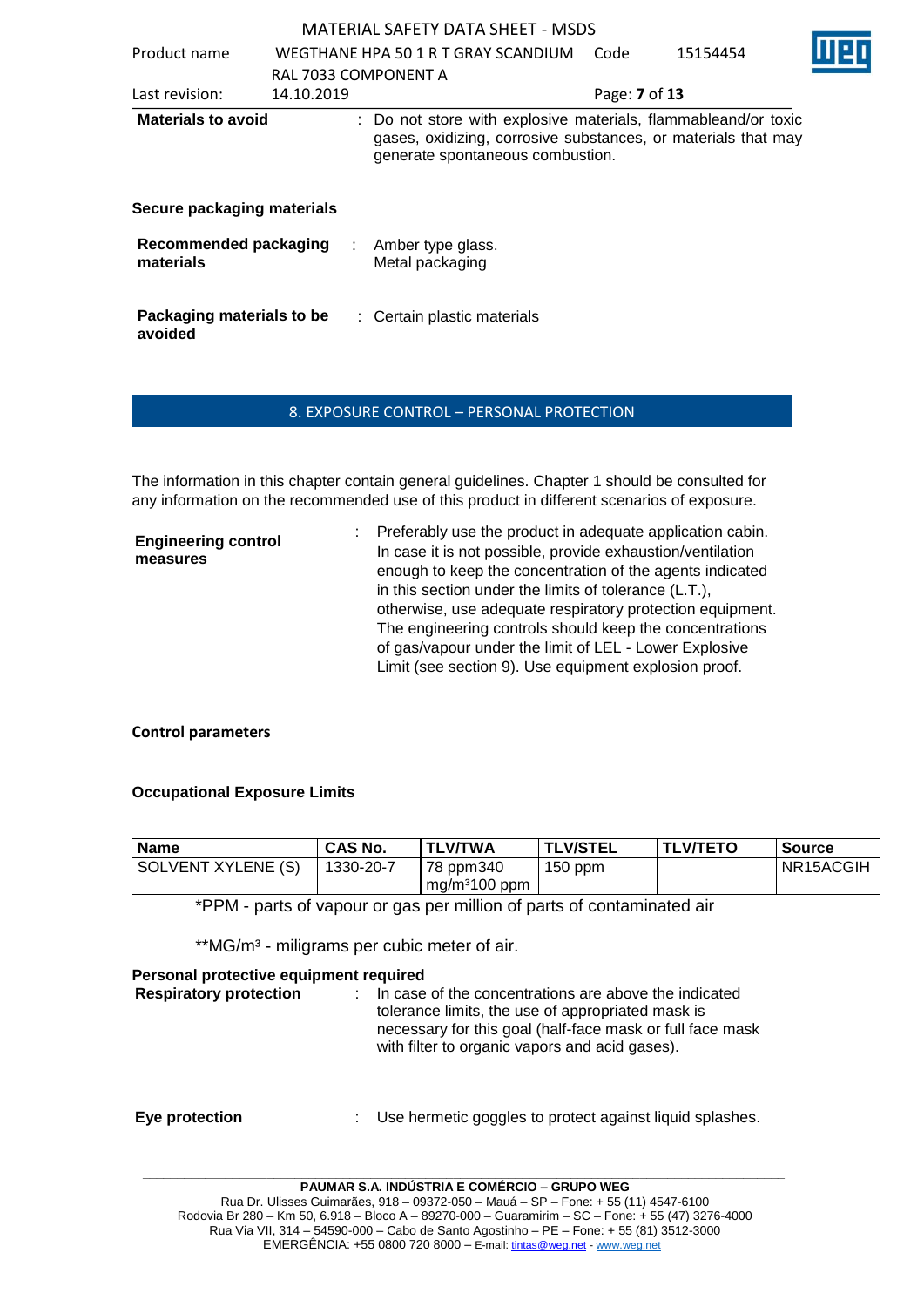| Product name                         |            | WEGTHANE HPA 50 1 R T GRAY SCANDIUM<br>RAL 7033 COMPONENT A                                                                                                         | Code                        | 15154454 |  |
|--------------------------------------|------------|---------------------------------------------------------------------------------------------------------------------------------------------------------------------|-----------------------------|----------|--|
| Last revision:                       | 14.10.2019 |                                                                                                                                                                     | Page: <b>7</b> of <b>13</b> |          |  |
| <b>Materials to avoid</b>            |            | : Do not store with explosive materials, flammableand/or toxic<br>gases, oxidizing, corrosive substances, or materials that may<br>generate spontaneous combustion. |                             |          |  |
| Secure packaging materials           |            |                                                                                                                                                                     |                             |          |  |
| Recommended packaging<br>materials   | ÷          | Amber type glass.<br>Metal packaging                                                                                                                                |                             |          |  |
| Packaging materials to be<br>avoided |            | : Certain plastic materials                                                                                                                                         |                             |          |  |

#### 8. EXPOSURE CONTROL – PERSONAL PROTECTION

The information in this chapter contain general guidelines. Chapter 1 should be consulted for any information on the recommended use of this product in different scenarios of exposure.

| <b>Engineering control</b><br>measures | Preferably use the product in adequate application cabin.<br>In case it is not possible, provide exhaustion/ventilation<br>enough to keep the concentration of the agents indicated<br>in this section under the limits of tolerance (L.T.),<br>otherwise, use adequate respiratory protection equipment.<br>The engineering controls should keep the concentrations |
|----------------------------------------|----------------------------------------------------------------------------------------------------------------------------------------------------------------------------------------------------------------------------------------------------------------------------------------------------------------------------------------------------------------------|
|                                        | of gas/vapour under the limit of LEL - Lower Explosive<br>Limit (see section 9). Use equipment explosion proof.                                                                                                                                                                                                                                                      |

#### **Control parameters**

#### **Occupational Exposure Limits**

| <b>Name</b>        | <b>CAS No.</b> | <b>TLV/TWA</b>            | <b>TLV/STEL</b> | <b>TLV/TETO</b> | <b>Source</b> |
|--------------------|----------------|---------------------------|-----------------|-----------------|---------------|
| SOLVENT XYLENE (S) | 1330-20-7      | 78 ppm340                 | $150$ ppm       |                 | NR15ACGIH     |
|                    |                | mg/m <sup>3</sup> 100 ppm |                 |                 |               |

\*PPM - parts of vapour or gas per million of parts of contaminated air

\*\*MG/m<sup>3</sup> - miligrams per cubic meter of air.

| Personal protective equipment required |                                                                                                                                                                                                                           |
|----------------------------------------|---------------------------------------------------------------------------------------------------------------------------------------------------------------------------------------------------------------------------|
| <b>Respiratory protection</b>          | In case of the concentrations are above the indicated<br>tolerance limits, the use of appropriated mask is<br>necessary for this goal (half-face mask or full face mask<br>with filter to organic vapors and acid gases). |
| Eye protection                         | Use hermetic goggles to protect against liquid splashes.                                                                                                                                                                  |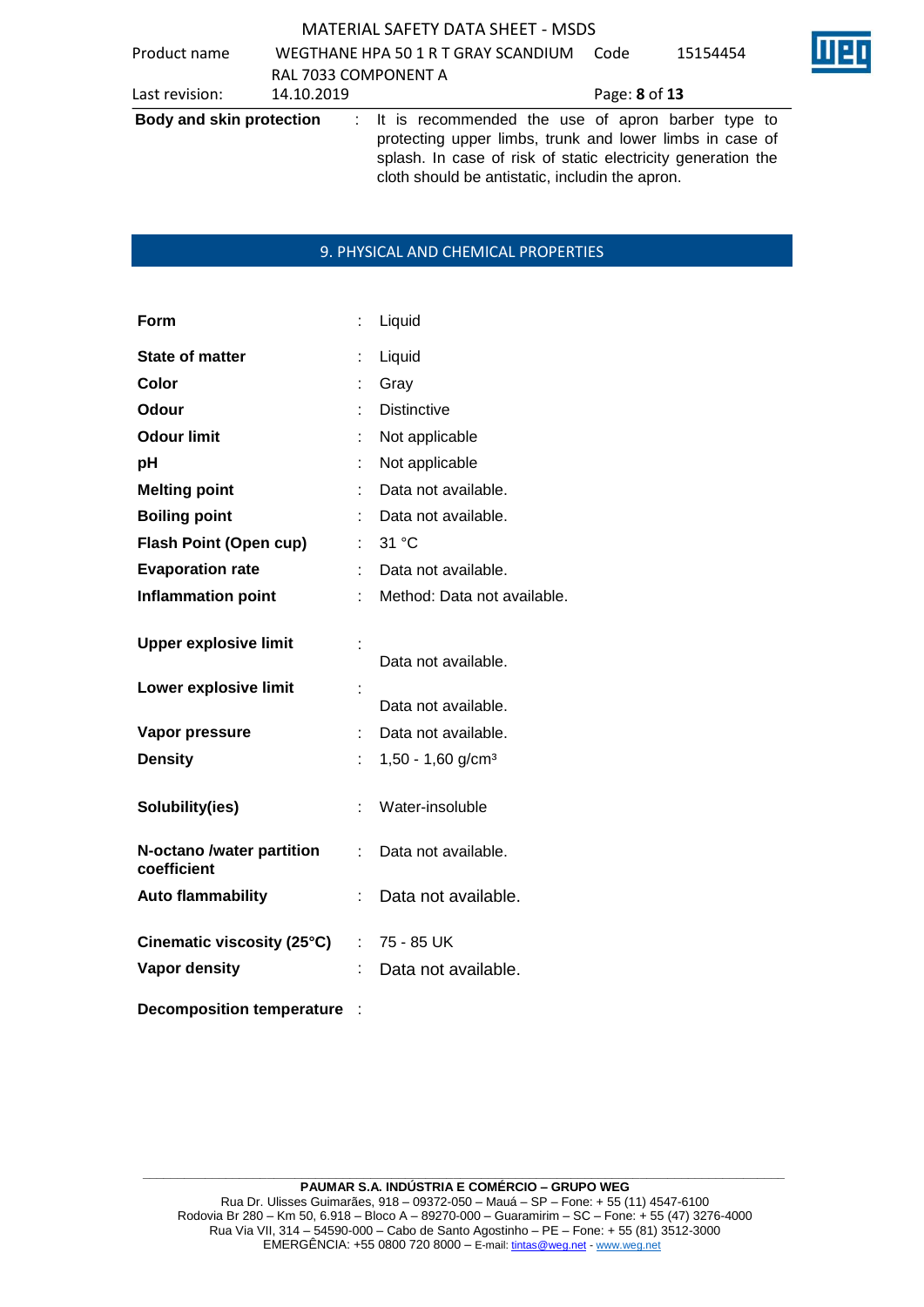| Product name                    | RAL 7033 COMPONENT A | WEGTHANE HPA 50 1 R T GRAY SCANDIUM                                                                                                                                                                                                | Code          | 15154454 |  |
|---------------------------------|----------------------|------------------------------------------------------------------------------------------------------------------------------------------------------------------------------------------------------------------------------------|---------------|----------|--|
| Last revision:                  | 14.10.2019           |                                                                                                                                                                                                                                    | Page: 8 of 13 |          |  |
| <b>Body and skin protection</b> |                      | : It is recommended the use of apron barber type to<br>protecting upper limbs, trunk and lower limbs in case of<br>splash. In case of risk of static electricity generation the<br>cloth should be antistatic, includin the apron. |               |          |  |

#### 9. PHYSICAL AND CHEMICAL PROPERTIES

| Form                                     | ÷  | Liquid                          |
|------------------------------------------|----|---------------------------------|
| <b>State of matter</b>                   | t  | Liquid                          |
| Color                                    |    | Gray                            |
| <b>Odour</b>                             |    | <b>Distinctive</b>              |
| <b>Odour limit</b>                       |    | Not applicable                  |
| рH                                       |    | Not applicable                  |
| <b>Melting point</b>                     |    | Data not available.             |
| <b>Boiling point</b>                     |    | Data not available.             |
| Flash Point (Open cup)                   |    | 31 °C                           |
| <b>Evaporation rate</b>                  |    | Data not available.             |
| <b>Inflammation point</b>                |    | Method: Data not available.     |
| <b>Upper explosive limit</b>             | t  | Data not available.             |
| Lower explosive limit                    |    | Data not available.             |
| Vapor pressure                           | ÷  | Data not available.             |
| <b>Density</b>                           |    | $1,50 - 1,60$ g/cm <sup>3</sup> |
| Solubility(ies)                          | t  | Water-insoluble                 |
| N-octano /water partition<br>coefficient | t. | Data not available.             |
| <b>Auto flammability</b>                 | ÷  | Data not available.             |
| Cinematic viscosity (25°C)               |    | $: 75 - 85$ UK                  |
| Vapor density                            |    | Data not available.             |
| <b>Decomposition temperature</b>         |    |                                 |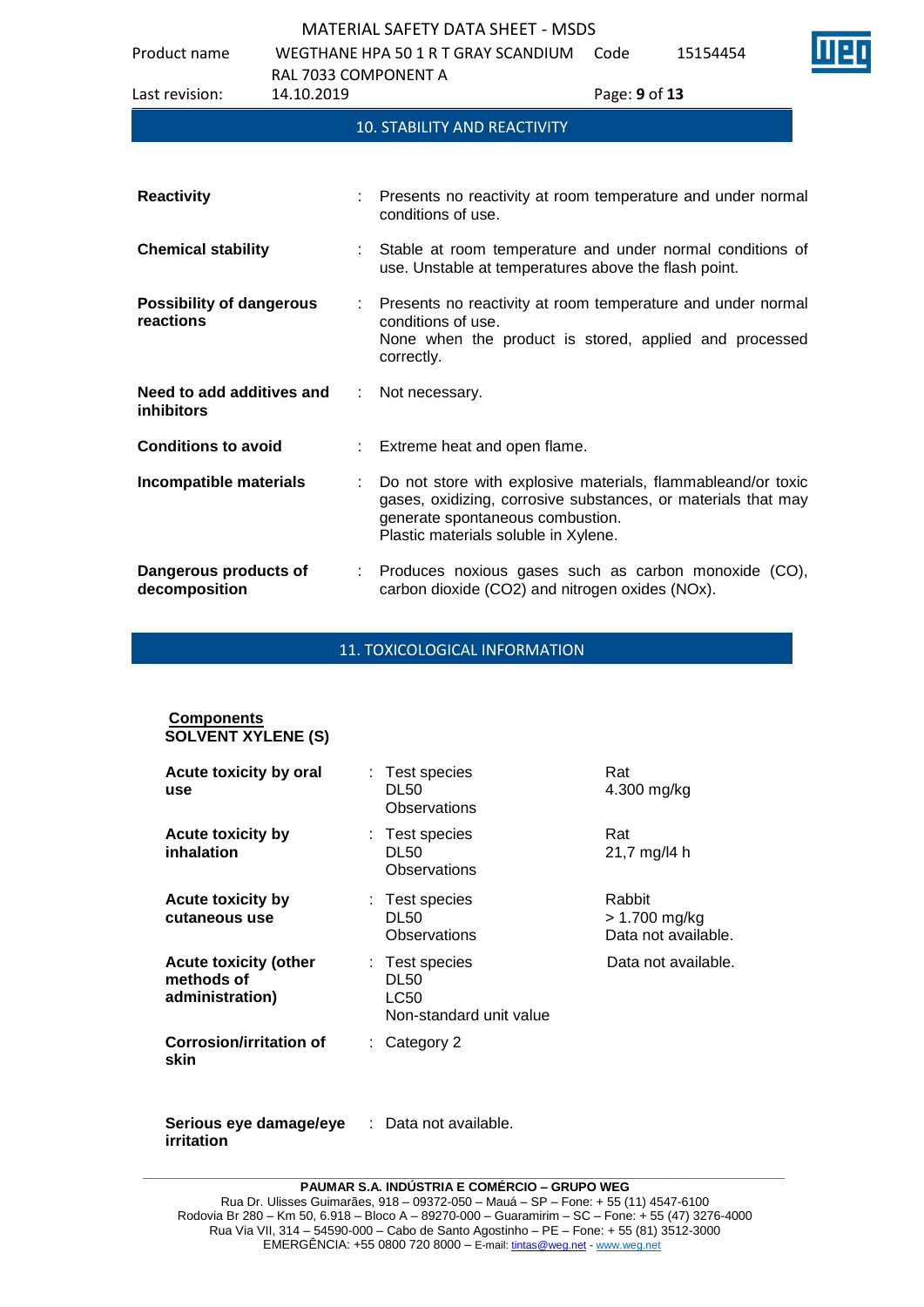Product name WEGTHANE HPA 50 1 R T GRAY SCANDIUM Code 15154454

|                                                | RAL 7033 COMPONENT A |                                                                                                                                                                                                           |
|------------------------------------------------|----------------------|-----------------------------------------------------------------------------------------------------------------------------------------------------------------------------------------------------------|
| Last revision:                                 | 14.10.2019           | Page: 9 of 13                                                                                                                                                                                             |
|                                                |                      | <b>10. STABILITY AND REACTIVITY</b>                                                                                                                                                                       |
|                                                |                      |                                                                                                                                                                                                           |
| <b>Reactivity</b>                              |                      | Presents no reactivity at room temperature and under normal<br>conditions of use.                                                                                                                         |
| <b>Chemical stability</b>                      |                      | Stable at room temperature and under normal conditions of<br>use. Unstable at temperatures above the flash point.                                                                                         |
| <b>Possibility of dangerous</b><br>reactions   |                      | Presents no reactivity at room temperature and under normal<br>conditions of use.<br>None when the product is stored, applied and processed<br>correctly.                                                 |
| Need to add additives and<br><b>inhibitors</b> | ÷                    | Not necessary.                                                                                                                                                                                            |
| <b>Conditions to avoid</b>                     |                      | Extreme heat and open flame.                                                                                                                                                                              |
| Incompatible materials                         |                      | Do not store with explosive materials, flammableand/or toxic<br>gases, oxidizing, corrosive substances, or materials that may<br>generate spontaneous combustion.<br>Plastic materials soluble in Xylene. |
| Dangerous products of<br>decomposition         |                      | Produces noxious gases such as carbon monoxide (CO),<br>carbon dioxide (CO2) and nitrogen oxides (NOx).                                                                                                   |

11. TOXICOLOGICAL INFORMATION

| : Test species<br><b>DL50</b><br>Observations                    | Rat<br>4.300 mg/kg                             |
|------------------------------------------------------------------|------------------------------------------------|
| : Test species<br><b>DL50</b><br>Observations                    | Rat<br>21,7 mg/l4 h                            |
| : Test species<br><b>DL50</b><br>Observations                    | Rabbit<br>> 1.700 mg/kg<br>Data not available. |
| : Test species<br><b>DL50</b><br>LC50<br>Non-standard unit value | Data not available.                            |
| : Category 2                                                     |                                                |
|                                                                  |                                                |

**Serious eye damage/eye**  : Data not available.**irritation**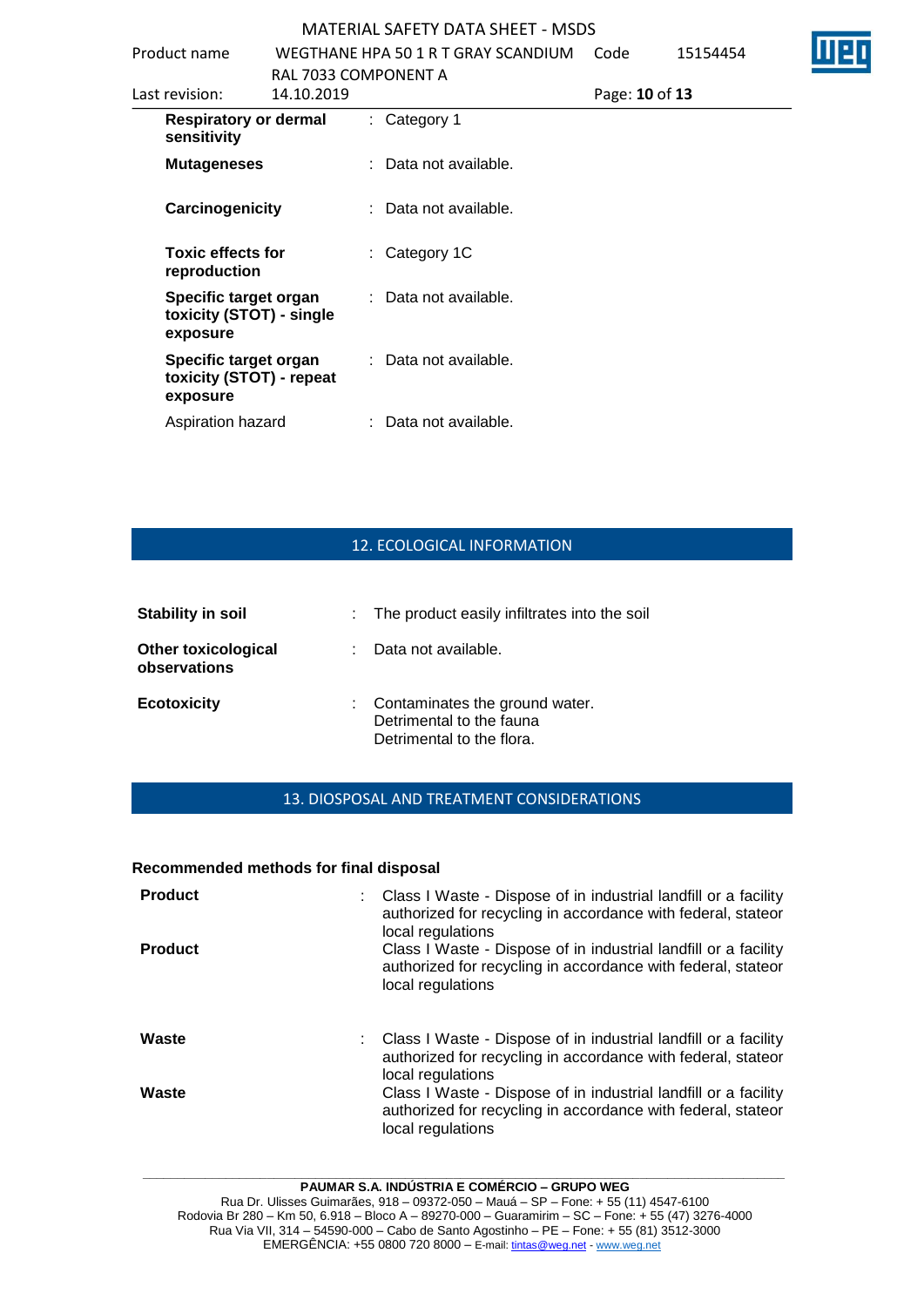| Product name                                                  |                                    |  | WEGTHANE HPA 50 1 R T GRAY SCANDIUM | Code           | 15154454 |  |
|---------------------------------------------------------------|------------------------------------|--|-------------------------------------|----------------|----------|--|
| Last revision:                                                | RAL 7033 COMPONENT A<br>14.10.2019 |  |                                     | Page: 10 of 13 |          |  |
| <b>Respiratory or dermal</b><br>sensitivity                   |                                    |  | $:$ Category 1                      |                |          |  |
| <b>Mutageneses</b>                                            |                                    |  | Data not available.                 |                |          |  |
| Carcinogenicity                                               |                                    |  | : Data not available.               |                |          |  |
| <b>Toxic effects for</b><br>reproduction                      |                                    |  | Category 1C                         |                |          |  |
| Specific target organ<br>toxicity (STOT) - single<br>exposure |                                    |  | Data not available.                 |                |          |  |
| Specific target organ<br>toxicity (STOT) - repeat<br>exposure |                                    |  | : Data not available.               |                |          |  |
| Aspiration hazard                                             |                                    |  | : Data not available.               |                |          |  |

## 12. ECOLOGICAL INFORMATION

| <b>Stability in soil</b>                   | : The product easily infiltrates into the soil                                            |
|--------------------------------------------|-------------------------------------------------------------------------------------------|
| <b>Other toxicological</b><br>observations | Data not available.                                                                       |
| <b>Ecotoxicity</b>                         | : Contaminates the ground water.<br>Detrimental to the fauna<br>Detrimental to the flora. |

#### 13. DIOSPOSAL AND TREATMENT CONSIDERATIONS

#### **Recommended methods for final disposal**

| <b>Product</b><br><b>Product</b> | Class I Waste - Dispose of in industrial landfill or a facility<br>authorized for recycling in accordance with federal, stateor<br>local regulations<br>Class I Waste - Dispose of in industrial landfill or a facility<br>authorized for recycling in accordance with federal, stateor<br>local regulations   |
|----------------------------------|----------------------------------------------------------------------------------------------------------------------------------------------------------------------------------------------------------------------------------------------------------------------------------------------------------------|
| Waste<br>Waste                   | : Class I Waste - Dispose of in industrial landfill or a facility<br>authorized for recycling in accordance with federal, stateor<br>local regulations<br>Class I Waste - Dispose of in industrial landfill or a facility<br>authorized for recycling in accordance with federal, stateor<br>local regulations |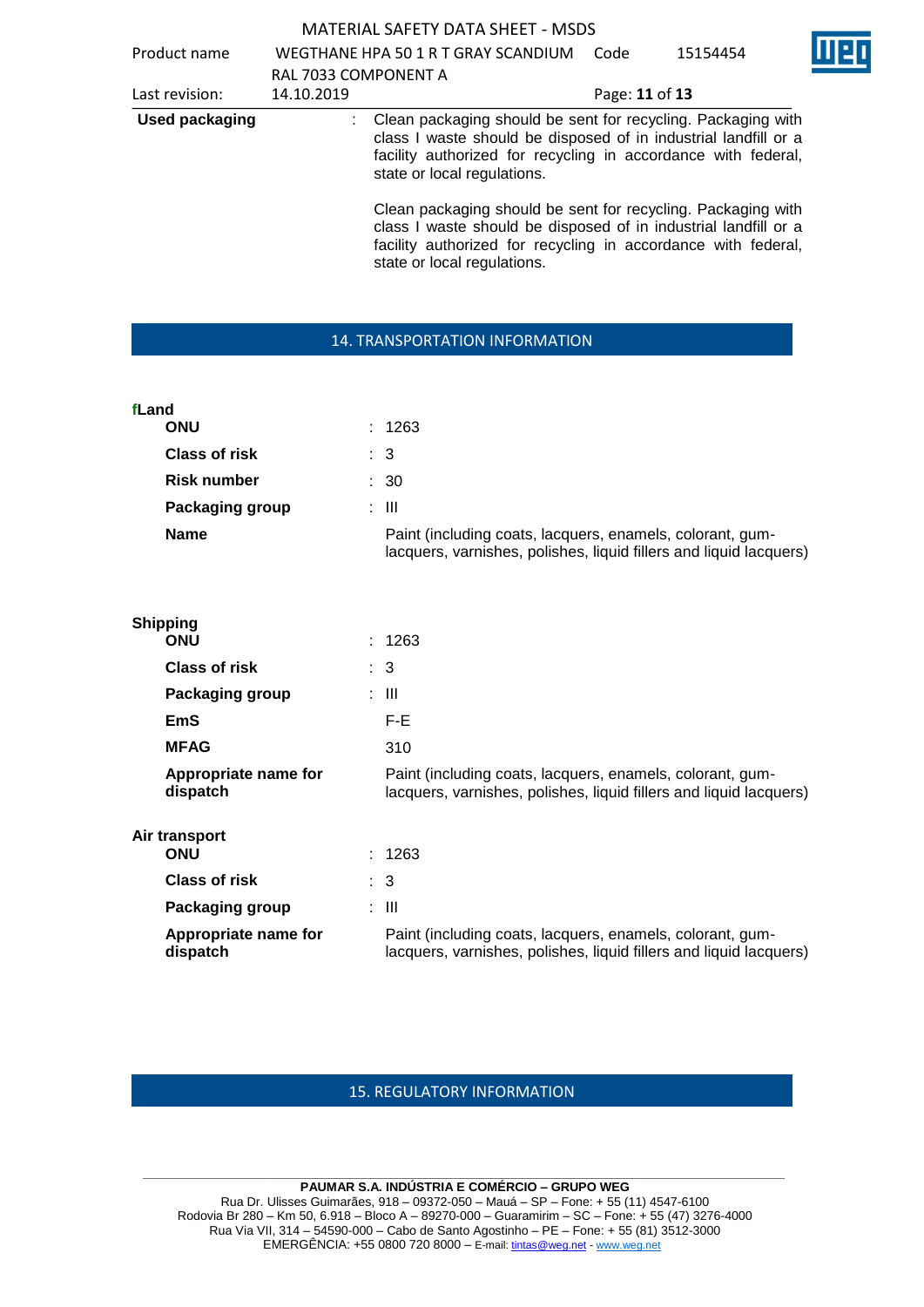|                                  |                                    | <b>MATERIAL SAFETY DATA SHEET - MSDS</b>                                                                                                                                                                                        |                |          |  |  |
|----------------------------------|------------------------------------|---------------------------------------------------------------------------------------------------------------------------------------------------------------------------------------------------------------------------------|----------------|----------|--|--|
| Product name                     |                                    | WEGTHANE HPA 50 1 R T GRAY SCANDIUM                                                                                                                                                                                             | Code           | 15154454 |  |  |
| Last revision:                   | RAL 7033 COMPONENT A<br>14.10.2019 |                                                                                                                                                                                                                                 | Page: 11 of 13 |          |  |  |
| <b>Used packaging</b>            |                                    | Clean packaging should be sent for recycling. Packaging with                                                                                                                                                                    |                |          |  |  |
|                                  |                                    | class I waste should be disposed of in industrial landfill or a<br>facility authorized for recycling in accordance with federal,<br>state or local regulations.                                                                 |                |          |  |  |
|                                  |                                    | Clean packaging should be sent for recycling. Packaging with<br>class I waste should be disposed of in industrial landfill or a<br>facility authorized for recycling in accordance with federal,<br>state or local regulations. |                |          |  |  |
|                                  |                                    | 14. TRANSPORTATION INFORMATION                                                                                                                                                                                                  |                |          |  |  |
| fLand                            |                                    |                                                                                                                                                                                                                                 |                |          |  |  |
| <b>ONU</b>                       |                                    | 1263                                                                                                                                                                                                                            |                |          |  |  |
| <b>Class of risk</b>             |                                    | $\therefore$ 3                                                                                                                                                                                                                  |                |          |  |  |
| <b>Risk number</b>               |                                    | : 30                                                                                                                                                                                                                            |                |          |  |  |
| Packaging group                  |                                    | : III                                                                                                                                                                                                                           |                |          |  |  |
| <b>Name</b>                      |                                    | Paint (including coats, lacquers, enamels, colorant, gum-<br>lacquers, varnishes, polishes, liquid fillers and liquid lacquers)                                                                                                 |                |          |  |  |
| <b>Shipping</b><br><b>ONU</b>    |                                    | 1263                                                                                                                                                                                                                            |                |          |  |  |
| <b>Class of risk</b>             |                                    | - 3                                                                                                                                                                                                                             |                |          |  |  |
| Packaging group                  |                                    | : III                                                                                                                                                                                                                           |                |          |  |  |
| <b>EmS</b>                       |                                    | F-E                                                                                                                                                                                                                             |                |          |  |  |
| <b>MFAG</b>                      |                                    | 310                                                                                                                                                                                                                             |                |          |  |  |
| Appropriate name for<br>dispatch |                                    | Paint (including coats, lacquers, enamels, colorant, gum-<br>lacquers, varnishes, polishes, liquid fillers and liquid lacquers)                                                                                                 |                |          |  |  |
| Air transport<br><b>ONU</b>      |                                    | : 1263                                                                                                                                                                                                                          |                |          |  |  |
| <b>Class of risk</b>             |                                    | $\overline{\mathbf{3}}$                                                                                                                                                                                                         |                |          |  |  |
| Packaging group                  |                                    | $: \mathbb{H}$                                                                                                                                                                                                                  |                |          |  |  |
| Appropriate name for<br>dispatch |                                    | Paint (including coats, lacquers, enamels, colorant, gum-<br>lacquers, varnishes, polishes, liquid fillers and liquid lacquers)                                                                                                 |                |          |  |  |

## 15. REGULATORY INFORMATION

**\_\_\_\_\_\_\_\_\_\_\_\_\_\_\_\_\_\_\_\_\_\_\_\_\_\_\_\_\_\_\_\_\_\_\_\_\_\_\_\_\_\_\_\_\_\_\_\_\_\_\_\_\_\_\_\_\_\_\_\_\_\_\_\_\_\_\_\_\_\_\_\_\_\_\_\_\_\_\_\_\_\_\_\_\_\_\_\_\_\_\_\_\_ PAUMAR S.A. INDÚSTRIA E COMÉRCIO – GRUPO WEG**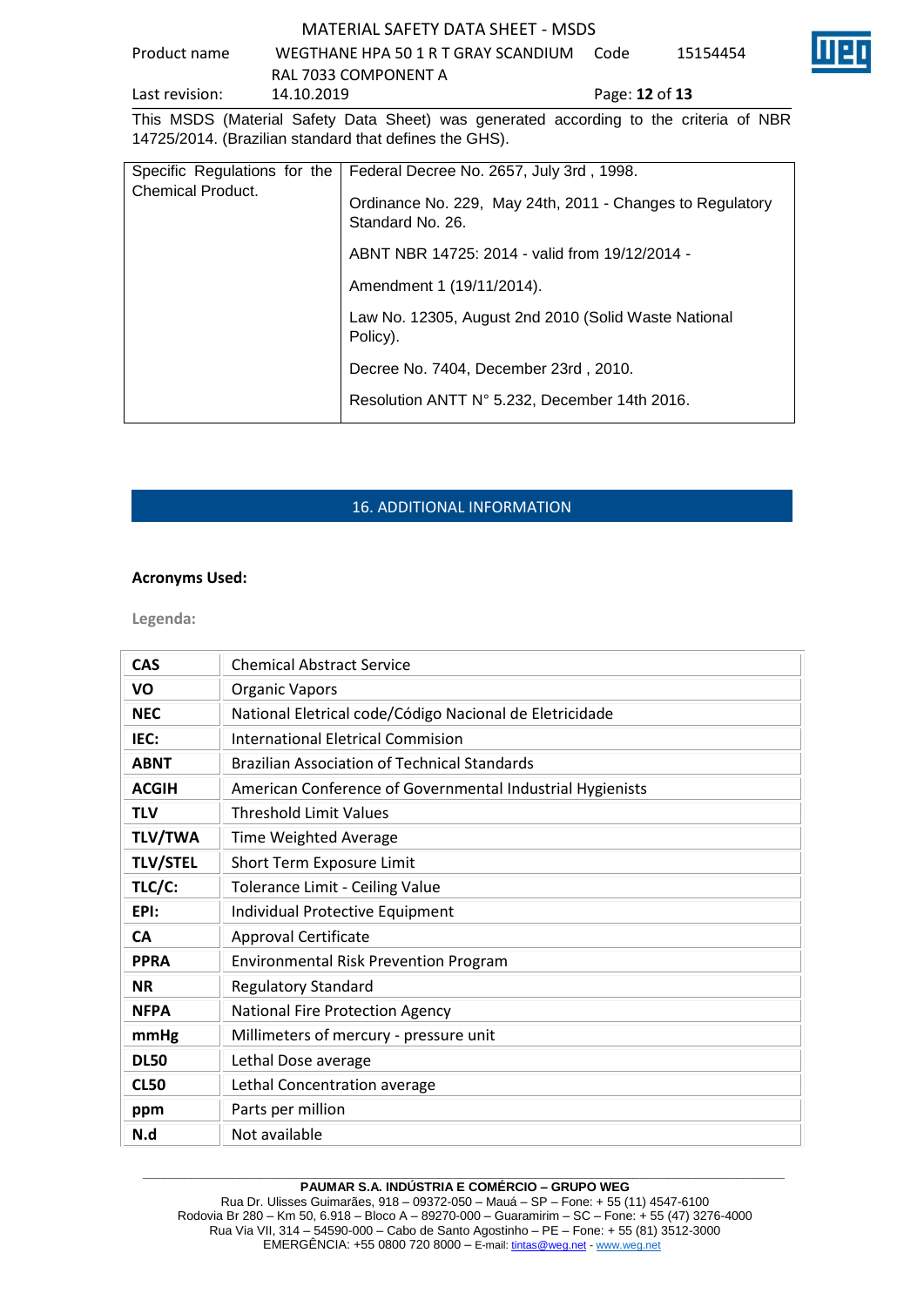# Product name WEGTHANE HPA 50 1 R T GRAY SCANDIUM



15154454

RAL 7033 COMPONENT A Last revision: 14.10.2019 Page: **12** of **13** This MSDS (Material Safety Data Sheet) was generated according to the criteria of NBR 14725/2014. (Brazilian standard that defines the GHS).

| Specific Regulations for the | Federal Decree No. 2657, July 3rd, 1998.                                      |
|------------------------------|-------------------------------------------------------------------------------|
| <b>Chemical Product.</b>     | Ordinance No. 229, May 24th, 2011 - Changes to Regulatory<br>Standard No. 26. |
|                              | ABNT NBR 14725: 2014 - valid from 19/12/2014 -                                |
|                              | Amendment 1 (19/11/2014).                                                     |
|                              | Law No. 12305, August 2nd 2010 (Solid Waste National<br>Policy).              |
|                              | Decree No. 7404, December 23rd, 2010.                                         |
|                              | Resolution ANTT N° 5.232, December 14th 2016.                                 |

# 16. ADDITIONAL INFORMATION

#### **Acronyms Used:**

**Legenda:**

| <b>CAS</b>      | <b>Chemical Abstract Service</b>                          |  |  |  |
|-----------------|-----------------------------------------------------------|--|--|--|
| VO              | <b>Organic Vapors</b>                                     |  |  |  |
| <b>NEC</b>      | National Eletrical code/Código Nacional de Eletricidade   |  |  |  |
| IEC:            | <b>International Eletrical Commision</b>                  |  |  |  |
| <b>ABNT</b>     | <b>Brazilian Association of Technical Standards</b>       |  |  |  |
| <b>ACGIH</b>    | American Conference of Governmental Industrial Hygienists |  |  |  |
| <b>TLV</b>      | <b>Threshold Limit Values</b>                             |  |  |  |
| <b>TLV/TWA</b>  | Time Weighted Average                                     |  |  |  |
| <b>TLV/STEL</b> | Short Term Exposure Limit                                 |  |  |  |
| TLC/C:          | Tolerance Limit - Ceiling Value                           |  |  |  |
| EPI:            | Individual Protective Equipment                           |  |  |  |
| <b>CA</b>       | <b>Approval Certificate</b>                               |  |  |  |
| <b>PPRA</b>     | <b>Environmental Risk Prevention Program</b>              |  |  |  |
| <b>NR</b>       | <b>Regulatory Standard</b>                                |  |  |  |
| <b>NFPA</b>     | National Fire Protection Agency                           |  |  |  |
| mmHg            | Millimeters of mercury - pressure unit                    |  |  |  |
| <b>DL50</b>     | Lethal Dose average                                       |  |  |  |
| <b>CL50</b>     | Lethal Concentration average                              |  |  |  |
| ppm             | Parts per million                                         |  |  |  |
| N.d             | Not available                                             |  |  |  |

#### **\_\_\_\_\_\_\_\_\_\_\_\_\_\_\_\_\_\_\_\_\_\_\_\_\_\_\_\_\_\_\_\_\_\_\_\_\_\_\_\_\_\_\_\_\_\_\_\_\_\_\_\_\_\_\_\_\_\_\_\_\_\_\_\_\_\_\_\_\_\_\_\_\_\_\_\_\_\_\_\_\_\_\_\_\_\_\_\_\_\_\_\_\_ PAUMAR S.A. INDÚSTRIA E COMÉRCIO – GRUPO WEG**